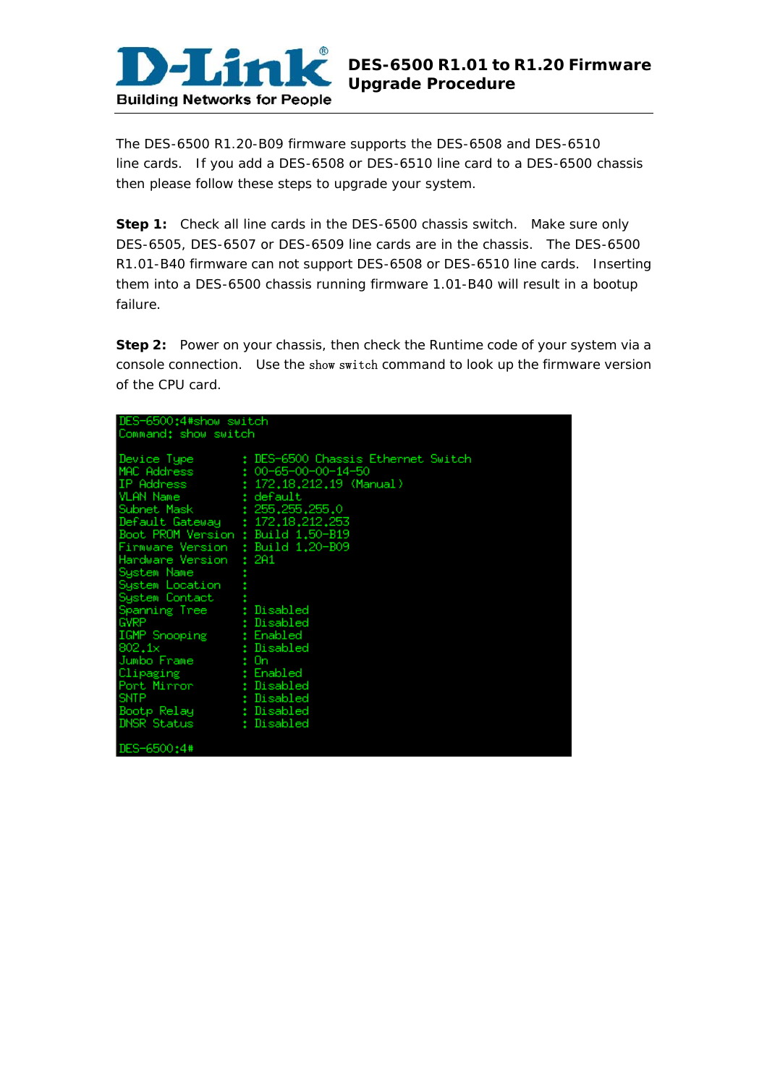

The DES-6500 R1.20-B09 firmware supports the DES-6508 and DES-6510 line cards. If you add a DES-6508 or DES-6510 line card to a DES-6500 chassis then please follow these steps to upgrade your system.

**Step 1:** Check all line cards in the DES-6500 chassis switch. Make sure only DES-6505, DES-6507 or DES-6509 line cards are in the chassis. The DES-6500 R1.01-B40 firmware can not support DES-6508 or DES-6510 line cards. Inserting them into a DES-6500 chassis running firmware 1.01-B40 will result in a bootup failure.

**Step 2:** Power on your chassis, then check the Runtime code of your system via a console connection. Use the show switch command to look up the firmware version of the CPU card.

| DES-6500:4#show switch             |                                                |  |  |  |  |  |
|------------------------------------|------------------------------------------------|--|--|--|--|--|
| Command: show switch               |                                                |  |  |  |  |  |
|                                    |                                                |  |  |  |  |  |
| Device Type                        | : DES-6500 Chassis Ethernet Switch             |  |  |  |  |  |
|                                    | MAC Address $\qquad \qquad 100-65-00-00-14-50$ |  |  |  |  |  |
|                                    | (Manual) 172.18.212.19 (Manual)                |  |  |  |  |  |
| VLAN Name t default                |                                                |  |  |  |  |  |
| Subnet Mask : 255,255,255,0        |                                                |  |  |  |  |  |
| Default Gateway : 172.18.212.253   |                                                |  |  |  |  |  |
| Boot PROM Version : Build 1,50-B19 |                                                |  |  |  |  |  |
| Firmware Version : Build 1.20-B09  |                                                |  |  |  |  |  |
| Hardware Version                   | : 2A1                                          |  |  |  |  |  |
| System Name                        |                                                |  |  |  |  |  |
| System Location                    |                                                |  |  |  |  |  |
| System Contact                     |                                                |  |  |  |  |  |
| Spanning Tree                      | : Disabled                                     |  |  |  |  |  |
| <b>GVRP</b>                        | : Disabled                                     |  |  |  |  |  |
| IGMP Snooping                      | : Enabled                                      |  |  |  |  |  |
| 802.1x                             | : Disabled                                     |  |  |  |  |  |
| Jumbo Frame                        | : On                                           |  |  |  |  |  |
| Clipaging (Enabled                 |                                                |  |  |  |  |  |
| Port Mirror <b>Brand</b>           | : Disabled                                     |  |  |  |  |  |
| <b>SNTP</b>                        | : Disabled                                     |  |  |  |  |  |
| Bootp Relay                        | : Disabled                                     |  |  |  |  |  |
| DNSR Status                        | : Disabled                                     |  |  |  |  |  |
| DES-6500:4#                        |                                                |  |  |  |  |  |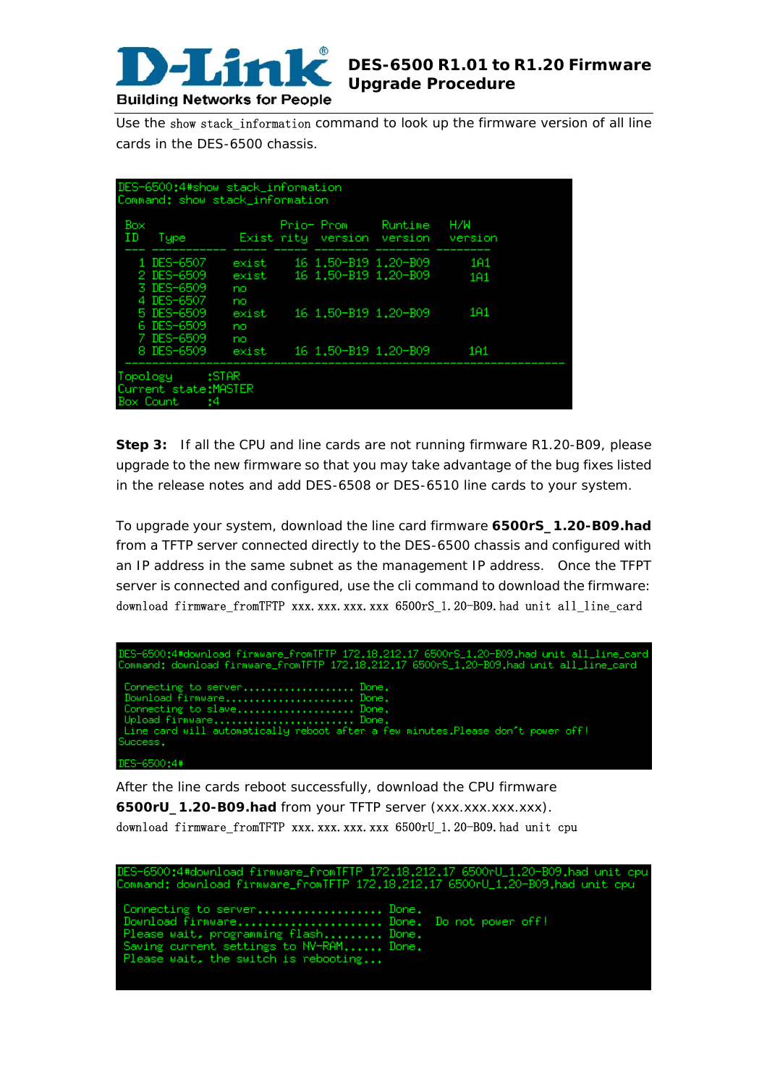

Use the show stack information command to look up the firmware version of all line cards in the DES-6500 chassis.

| Box<br>ΙD<br>Tupe                      |                   | Prio- Prom           | Runtime<br>Exist rity version version | H/W<br>version   |
|----------------------------------------|-------------------|----------------------|---------------------------------------|------------------|
| 1 DES-6507                             | exist             | 16 1.50-B19 1.20-B09 |                                       | 1A1              |
| 2 DES-6509<br>3 DES-6509<br>4 DES-6507 | exist<br>no<br>no | 16 1.50-B19 1.20-B09 |                                       | 1 <sub>H</sub> 1 |
| 5 DES-6509<br>6 DES-6509<br>7 DES-6509 | exist<br>no<br>no | 16 1.50-B19 1.20-B09 |                                       | 1 <sub>01</sub>  |
| 8 DES-6509                             | exist             | 16 1.50-B19 1.20-B09 |                                       | 1 <sub>01</sub>  |

**Step 3:** If all the CPU and line cards are not running firmware R1.20-B09, please upgrade to the new firmware so that you may take advantage of the bug fixes listed in the release notes and add DES-6508 or DES-6510 line cards to your system.

To upgrade your system, download the line card firmware **6500rS\_1.20-B09.had** from a TFTP server connected directly to the DES-6500 chassis and configured with an IP address in the same subnet as the management IP address. Once the TFPT server is connected and configured, use the cli command to download the firmware: download firmware\_fromTFTP xxx.xxx.xxx.xxx 6500rS\_1.20-B09.had unit all\_line\_card

| DES-6500:4#download firmware_fromTFTP 172.18.212.17 6500rS_1.20-B09.had unit all_line_card<br>Command: download firmware_fromTFTP 172.18.212.17 6500rS_1.20-B09.had unit all_line_card                       |
|--------------------------------------------------------------------------------------------------------------------------------------------------------------------------------------------------------------|
| Connecting to server Done.<br>Download firmware Done.<br>Connecting to slave Done.<br>Upload firmware Done.<br>  Line card will automatically reboot after a few minutes.Please don't power off!<br>Success. |
| DES-6500:4#                                                                                                                                                                                                  |

After the line cards reboot successfully, download the CPU firmware **6500rU\_1.20-B09.had** from your TFTP server (xxx.xxx.xxx.xxx). download firmware fromTFTP xxx.xxx.xxx.xxx 6500rU 1.20-B09.had unit cpu

| DES-6500:4#download firmware_fromTFTP 172.18.212.17 6500rU_1.20-B09.had unit cpu<br>Command: download firmware_fromTFTP 172.18.212.17 6500rU_1.20-B09.had unit cpu                                 |  |
|----------------------------------------------------------------------------------------------------------------------------------------------------------------------------------------------------|--|
| Connecting to server Done.<br>Download firmware Done. Do not power off!<br>Please wait, programming flash Done.<br>Saving current settings to NV-RAM Done.<br>Please wait, the switch is rebooting |  |